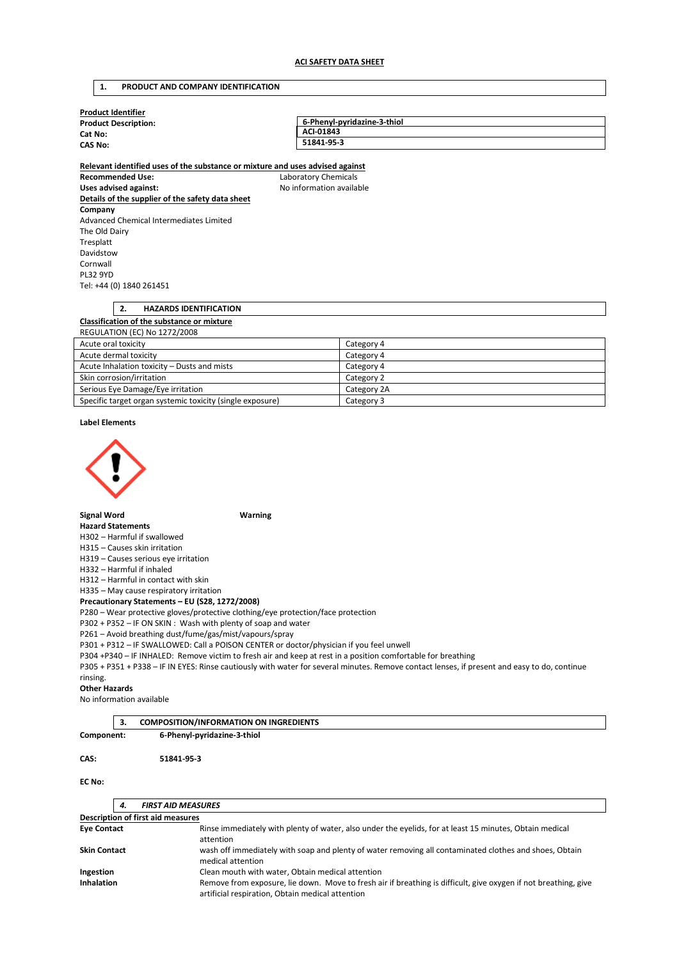### **1. PRODUCT AND COMPANY IDENTIFICATION**

| <b>Product Identifier</b>                                                     |                             |  |  |  |  |
|-------------------------------------------------------------------------------|-----------------------------|--|--|--|--|
| <b>Product Description:</b>                                                   | 6-Phenyl-pyridazine-3-thiol |  |  |  |  |
| Cat No:                                                                       | ACI-01843                   |  |  |  |  |
| <b>CAS No:</b>                                                                | 51841-95-3                  |  |  |  |  |
| Relevant identified uses of the substance or mixture and uses advised against |                             |  |  |  |  |
| <b>Recommended Use:</b>                                                       | Laboratory Chemicals        |  |  |  |  |
| Uses advised against:                                                         | No information available    |  |  |  |  |
| Details of the supplier of the safety data sheet                              |                             |  |  |  |  |
| Company                                                                       |                             |  |  |  |  |
| Advanced Chemical Intermediates Limited                                       |                             |  |  |  |  |
| The Old Dairy                                                                 |                             |  |  |  |  |
| Tresplatt                                                                     |                             |  |  |  |  |
| Davidstow                                                                     |                             |  |  |  |  |
| Cornwall                                                                      |                             |  |  |  |  |
| <b>PL32 9YD</b>                                                               |                             |  |  |  |  |
| Tel: +44 (0) 1840 261451                                                      |                             |  |  |  |  |
|                                                                               |                             |  |  |  |  |
| 2.<br><b>HAZARDS IDENTIFICATION</b>                                           |                             |  |  |  |  |
| Classification of the substance or mixture                                    |                             |  |  |  |  |
| <b>REGULATION (EC) No 1272/2008</b>                                           |                             |  |  |  |  |
| Acute oral toxicity                                                           | Category 4                  |  |  |  |  |
| Acute dermal toxicity                                                         | Category 4                  |  |  |  |  |
| Acute Inhalation toxicity - Dusts and mists                                   | Category 4                  |  |  |  |  |
| Skin corrosion/irritation                                                     | Category 2                  |  |  |  |  |
| Serious Eye Damage/Eye irritation                                             | Category 2A                 |  |  |  |  |
| Specific target organ systemic toxicity (single exposure)                     | Category 3                  |  |  |  |  |

#### **Label Elements**



**Signal Word Warning** 

### **Hazard Statements**

H302 – Harmful if swallowed

H315 – Causes skin irritation

H319 – Causes serious eye irritation

H332 – Harmful if inhaled

H312 – Harmful in contact with skin

H335 – May cause respiratory irritation

# **Precautionary Statements – EU (S28, 1272/2008)**

P280 – Wear protective gloves/protective clothing/eye protection/face protection

P302 + P352 – IF ON SKIN : Wash with plenty of soap and water

P261 – Avoid breathing dust/fume/gas/mist/vapours/spray

P301 + P312 – IF SWALLOWED: Call a POISON CENTER or doctor/physician if you feel unwell

P304 +P340 – IF INHALED: Remove victim to fresh air and keep at rest in a position comfortable for breathing

P305 + P351 + P338 – IF IN EYES: Rinse cautiously with water for several minutes. Remove contact lenses, if present and easy to do, continue rinsing.

#### **Other Hazards**

No information available

|               | 3. | <b>COMPOSITION/INFORMATION ON INGREDIENTS</b> |  |
|---------------|----|-----------------------------------------------|--|
| Component:    |    | 6-Phenyl-pyridazine-3-thiol                   |  |
|               |    |                                               |  |
| CAS:          |    | 51841-95-3                                    |  |
|               |    |                                               |  |
| <b>EC No:</b> |    |                                               |  |

|                                   | 4. | <b>FIRST AID MEASURES</b>                                                                                                                                           |  |  |  |
|-----------------------------------|----|---------------------------------------------------------------------------------------------------------------------------------------------------------------------|--|--|--|
| Description of first aid measures |    |                                                                                                                                                                     |  |  |  |
| <b>Eve Contact</b>                |    | Rinse immediately with plenty of water, also under the eyelids, for at least 15 minutes, Obtain medical<br>attention                                                |  |  |  |
| <b>Skin Contact</b>               |    | wash off immediately with soap and plenty of water removing all contaminated clothes and shoes, Obtain<br>medical attention                                         |  |  |  |
| Ingestion                         |    | Clean mouth with water, Obtain medical attention                                                                                                                    |  |  |  |
| <b>Inhalation</b>                 |    | Remove from exposure, lie down. Move to fresh air if breathing is difficult, give oxygen if not breathing, give<br>artificial respiration, Obtain medical attention |  |  |  |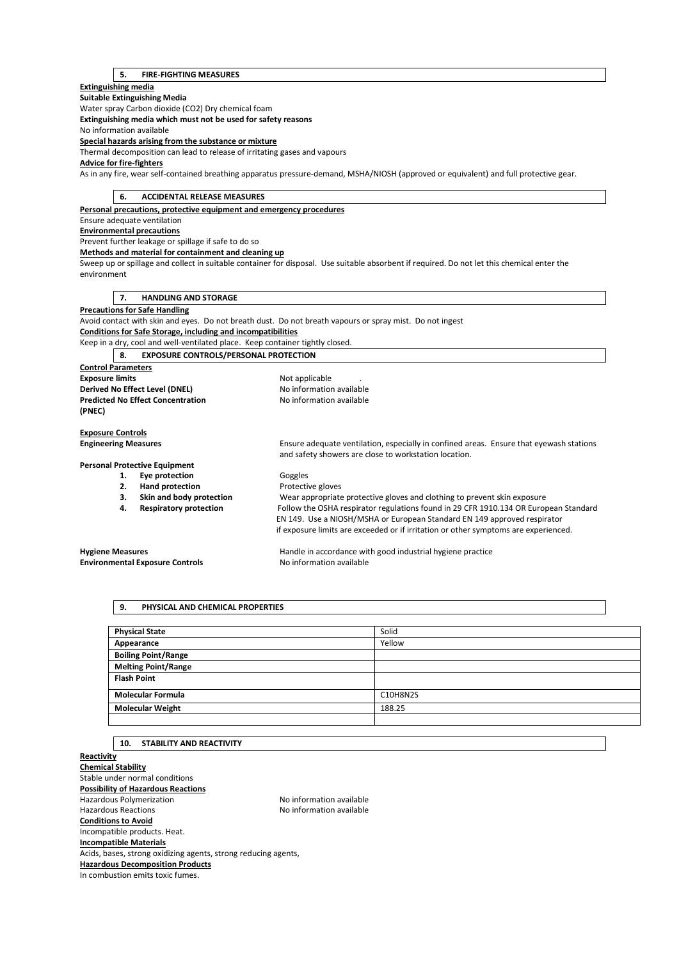### **5. FIRE-FIGHTING MEASURES**

### **Extinguishing media**

#### **Suitable Extinguishing Media**  Water spray Carbon dioxide (CO2) Dry chemical foam **Extinguishing media which must not be used for safety reasons**

No information available

# **Special hazards arising from the substance or mixture**

Thermal decomposition can lead to release of irritating gases and vapours

### **Advice for fire-fighters**

As in any fire, wear self-contained breathing apparatus pressure-demand, MSHA/NIOSH (approved or equivalent) and full protective gear.

### **6. ACCIDENTAL RELEASE MEASURES**

**Personal precautions, protective equipment and emergency procedures** 

### Ensure adequate ventilation

**Environmental precautions** 

# Prevent further leakage or spillage if safe to do so

**Methods and material for containment and cleaning up** 

Sweep up or spillage and collect in suitable container for disposal. Use suitable absorbent if required. Do not let this chemical enter the environment

### **7. HANDLING AND STORAGE**

**Precautions for Safe Handling** 

Avoid contact with skin and eyes. Do not breath dust. Do not breath vapours or spray mist. Do not ingest **Conditions for Safe Storage, including and incompatibilities** 

Keep in a dry, cool and well-ventilated place. Keep container tightly closed.

## **8. EXPOSURE CONTROLS/PERSONAL PROTECTION**

**Control Parameters Exposure limits Exposure limits Not applicable** . **Derived No Effect Level (DNEL)** No information available **Predicted No Effect Concentration** No information available **(PNEC) Exposure Controls Engineering Measures** Ensure adequate ventilation, especially in confined areas. Ensure that eyewash stations and safety showers are close to workstation location. **Personal Protective Equipment**  1. **Eye protection Goggles 2. Hand protection Protective gloves 3. Skin and body protection** Wear appropriate protective gloves and clothing to prevent skin exposure **4. Respiratory protection** Follow the OSHA respirator regulations found in 29 CFR 1910.134 OR European Standard EN 149. Use a NIOSH/MSHA or European Standard EN 149 approved respirator

# **Environmental Exposure Controls No information available**

**Hygiene Measures** Handle in accordance with good industrial hygiene practice

if exposure limits are exceeded or if irritation or other symptoms are experienced.

# **9. PHYSICAL AND CHEMICAL PROPERTIES**

| <b>Physical State</b>      | Solid    |
|----------------------------|----------|
| Appearance                 | Yellow   |
| <b>Boiling Point/Range</b> |          |
| <b>Melting Point/Range</b> |          |
| <b>Flash Point</b>         |          |
| <b>Molecular Formula</b>   | C10H8N2S |
| <b>Molecular Weight</b>    | 188.25   |
|                            |          |

### **10. STABILITY AND REACTIVITY**

**Reactivity Chemical Stability**  Stable under normal conditions **Possibility of Hazardous Reactions**  Hazardous Polymerization Noinformation available Hazardous Reactions **No information available Conditions to Avoid**  Incompatible products. Heat. **Incompatible Materials**  Acids, bases, strong oxidizing agents, strong reducing agents, **Hazardous Decomposition Products**  In combustion emits toxic fumes.